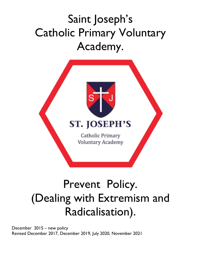

# Prevent Policy. (Dealing with Extremism and Radicalisation).

December 2015 – new policy Revised December 2017, December 2019, July 2020, November 2021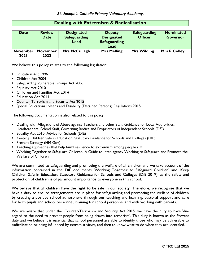|             | $\sim$ , with extraction $\alpha$ invertion $\alpha$ |                                                  |                                                                   |                                       |                                     |  |  |  |  |  |  |
|-------------|------------------------------------------------------|--------------------------------------------------|-------------------------------------------------------------------|---------------------------------------|-------------------------------------|--|--|--|--|--|--|
| <b>Date</b> | <b>Review</b><br><b>Date</b>                         | <b>Designated</b><br><b>Safeguarding</b><br>Lead | <b>Deputy</b><br><b>Designated</b><br><b>Safeguarding</b><br>Lead | <b>Safeguarding</b><br><b>Officer</b> | <b>Nominated</b><br><b>Governor</b> |  |  |  |  |  |  |

### **Dealing with Extremism & Radicalisation**

**Mrs McCullagh Mrs Melling Mrs Wilding Mrs R Colley**

We believe this policy relates to the following legislation:

**Education Act 1996** 

**November 2021**

- Children Act 2004
- **Safeguarding Vulnerable Groups Act 2006**

**November 2022**

- **Equality Act 2010**
- **Children and Families Act 2014**
- **Education Act 2011**
- **Counter Terrorism and Security Act 2015**
- Special Educational Needs and Disability (Detained Persons) Regulations 2015

The following documentation is also related to this policy:

- Dealing with Allegations of Abuse against Teachers and other Staff: Guidance for Local Authorities, Headteachers, School Staff, Governing Bodies and Proprietors of Independent Schools (DfE)
- **Equality Act 2010: Advice for Schools (DfE)**
- Keeping Children Safe in Education: Statutory Guidance for Schools and Colleges (DfE)
- **Prevent Strategy (HM Gov)**
- **Teaching approaches that help build resilience to extremism among people (DfE)**
- Working Together to Safeguard Children: A Guide to Inter-agency Working to Safeguard and Promote the Welfare of Children

We are committed to safeguarding and promoting the welfare of all children and we take account of the information contained in the DfE documents 'Working Together to Safeguard Children' and 'Keep Children Safe in Education: Statutory Guidance for Schools and Colleges (DfE 2019)' as the safety and protection of children is of paramount importance to everyone in this school.

We believe that all children have the right to be safe in our society. Therefore, we recognise that we have a duty to ensure arrangements are in place for safeguarding and promoting the welfare of children by creating a positive school atmosphere through our teaching and learning, pastoral support and care for both pupils and school personnel, training for school personnel and with working with parents.

We are aware that under the 'Counter-Terrorism and Security Act 2015' we have the duty to have 'due regard to the need to prevent people from being drawn into terrorism'. This duty is known as the Prevent duty and we believe it is essential that school personnel are able to identify those who may be vulnerable to radicalisation or being influenced by extremist views, and then to know what to do when they are identified.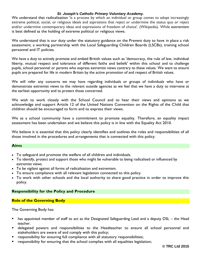We understand that radicalisation 'is a process by which an individual or group comes to adopt increasingly extreme political, social, or religious ideals and aspirations that reject or undermine the status quo or reject and/or undermine contemporary ideas and expressions of freedom of choice'. (Wikipedia). While extremism is best defined as the holding of extreme political or religious views.

We understand that is our duty under the statutory guidance on the Prevent duty to have in place a risk assessment, a working partnership with the Local Safeguarding Children Boards (LSCBs), training school personnel and IT policies.

We have a duty to actively promote and embed British values such as 'democracy, the rule of law, individual liberty, mutual respect and tolerance of different faiths and beliefs' within this school and to challenge pupils, school personnel or parents who express extremist views contrary to these values. We want to ensure pupils are prepared for life in modern Britain by the active promotion of and respect of British values.

We will refer any concerns we may have regarding individuals or groups of individuals who have or demonstrate extremist views to the relevant outside agencies as we feel that we have a duty to intervene at the earliest opportunity and to protect those concerned.

We wish to work closely with the School Council and to hear their views and opinions as we acknowledge and support Article 12 of the United Nations Convention on the Rights of the Child that children should be encouraged to form and to express their views.

We as a school community have a commitment to promote equality. Therefore, an equality impact assessment has been undertaken and we believe this policy is in line with the Equality Act 2010.

We believe it is essential that this policy clearly identifies and outlines the roles and responsibilities of all those involved in the procedures and arrangements that is connected with this policy.

#### **Aims**

- To safeguard and promote the welfare of all children and individuals.
- To identify, protect and support those who might be vulnerable to being radicalised or influenced by extremist views.
- To be vigilant against all forms of radicalisation and extremism.
- To ensure compliance with all relevant legislation connected to this policy.
- To work with other schools and the local authority to share good practice in order to improve this policy.

#### **Responsibility for the Policy and Procedure**

#### **Role of the Governing Body**

The Governing Body has:

- has appointed member of staff to act as the Designated Safeguarding Lead and a deputy DSL the Head teacher.
- delegated powers and responsibilities to the Headteacher to ensure all school personnel and stakeholders are aware of and comply with this policy;
- responsibility for ensuring full compliance with all statutory responsibilities;
- responsibility for ensuring that the school complies with all equalities legislation;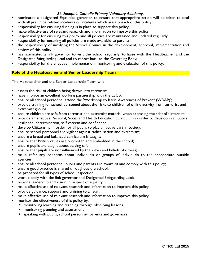- **•** nominated a designated Equalities governor to ensure that appropriate action will be taken to deal with all prejudice related incidents or incidents which are a breach of this policy;
- **•** responsibility for ensuring funding is in place to support this policy;
- make effective use of relevant research and information to improve this policy;
- responsibility for ensuring this policy and all policies are maintained and updated regularly;
- responsibility for ensuring all policies are made available to parents;
- the responsibility of involving the School Council in the development, approval, implementation and review of this policy;
- has nominated a link governor to visit the school regularly, to liaise with the Headteacher and the Designated Safeguarding Lead and to report back to the Governing Body;
- responsibility for the effective implementation, monitoring and evaluation of this policy.

#### **Role of the Headteacher and Senior Leadership Team**

The Headteacher and the Senior Leadership Team will:

- **E** assess the risk of children being drawn into terrorism;
- **have in place an excellent working partnership with the LSCB;**
- ensure all school personnel attend the 'Workshop to Raise Awareness of Prevent (WRAP)';
- provide training for school personnel about the risks to children of online activity from terrorist and extremist groups;
- ensure children are safe from terrorist and extremist material when accessing the school's internet;
- provide an effective Personal, Social and Health Education curriculum in order to develop in all pupils resilience, determination, self-esteem and confidence;
- develop Citizenship in order for all pupils to play an active part in society;
- ensure school personnel are vigilant against radicalisation and extremism;
- ensure a broad and balanced curriculum is taught;
- ensure that British values are promoted and embedded in the school;
- ensure pupils are taught about staying safe;
- ensure that pupils are not influenced by the views and beliefs of others;
- make refer any concerns about individuals or groups of individuals to the appropriate outside agencies;
- ensure all school personnel, pupils and parents are aware of and comply with this policy;
- ensure good practice is shared throughout the school;
- be prepared for all types of school inspection;
- work closely with the link governor and Designated Safeguarding Lead;
- provide leadership and vision in respect of equality;
- make effective use of relevant research and information to improve this policy;
- provide guidance, support and training to all staff;
- make effective use of relevant research and information to improve this policy;
- monitor the effectiveness of this policy by:
	- **n** monitoring learning and teaching through observing lessons
	- **numbarish** monitoring planning and assessment
	- speaking with pupils, school personnel, parents and governors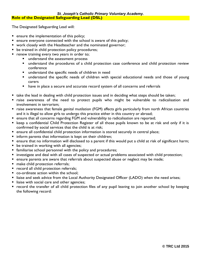The Designated Safeguarding Lead will:

- **ensure the implementation of this policy;**
- **E** ensure everyone connected with the school is aware of this policy;
- **•** work closely with the Headteacher and the nominated governor;
- **be trained in child protection policy procedures;**
- renew training every two years in order to;
	- **understand the assessment process**
	- understand the procedures of a child protection case conference and child protection review conference
	- understand the specific needs of children in need
	- understand the specific needs of children with special educational needs and those of young carers
	- have in place a secure and accurate record system of all concerns and referrals
- take the lead in dealing with child protection issues and in deciding what steps should be taken;
- raise awareness of the need to protect pupils who might be vulnerable to radicalisation and involvement in terrorism;
- raise awareness that female genital mutilation (FGM) affects girls particularly from north African countries and it is illegal to allow girls to undergo this practice either in this country or abroad;
- **E** ensure that all concerns regarding FGM and vulnerability to radicalisation are reported;
- keep a confidential Child Protection Register of all those pupils known to be at risk and only if it is confirmed by social services that the child is at risk;
- **E** ensure all confidential child protection information is stored securely in central place;
- **IF** inform parents that information is kept on their children;
- ensure that no information will disclosed to a parent if this would put a child at risk of significant harm;
- **be trained in working with all agencies;**
- familiarise school personnel with the policy and procedures;
- investigate and deal with all cases of suspected or actual problems associated with child protection;
- **E** ensure parents are aware that referrals about suspected abuse or neglect may be made;
- **nake child protection referrals;**
- **P** record all child protection referrals;
- co-ordinate action within the school:
- **If Ilaise and seek advice from the Local Authority Designated Officer (LADO) when the need arises;**
- liaise with social care and other agencies;
- **•** record the transfer of all child protection files of any pupil leaving to join another school by keeping the following record: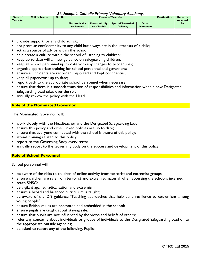| Date of<br><b>Transfer</b> | <b>Child's Name</b> | D.o.B. |                                     | <b>Means of Transfer</b>                                                                                             |  |  |  |  |  |  |  |  |  |  |
|----------------------------|---------------------|--------|-------------------------------------|----------------------------------------------------------------------------------------------------------------------|--|--|--|--|--|--|--|--|--|--|
|                            |                     |        | <b>Electronically</b><br>via Moveit | <b>Direct</b><br><b>Special/Recorded</b><br><b>Electronically</b><br>via CPOMs<br><b>Delivery</b><br><b>Handover</b> |  |  |  |  |  |  |  |  |  |  |
|                            |                     |        |                                     |                                                                                                                      |  |  |  |  |  |  |  |  |  |  |

- **provide support for any child at risk;**
- not promise confidentiality to any child but always act in the interests of a child;
- act as a source of advice within the school:
- help create a culture within the school of listening to children;
- **E** keep up to date will all new guidance on safeguarding children;
- **EXECT** beep all school personnel up to date with any changes to procedures;
- organise appropriate training for school personnel and governors;
- **E** ensure all incidents are recorded, reported and kept confidential;
- **E** keep all paperwork up to date;
- **P** report back to the appropriate school personnel when necessary;
- ensure that there is a smooth transition of responsibilities and information when a new Designated Safeguarding Lead takes over the role;
- **E** annually review the policy with the Head.

#### **Role of the Nominated Governor**

The Nominated Governor will:

- work closely with the Headteacher and the Designated Safeguarding Lead;
- **E** ensure this policy and other linked policies are up to date;
- **E** ensure that everyone connected with the school is aware of this policy;
- attend training related to this policy;
- **Perior 1** report to the Governing Body every term;
- annually report to the Governing Body on the success and development of this policy.

#### **Role of School Personnel**

School personnel will:

- **•** be aware of the risks to children of online activity from terrorist and extremist groups;
- **E** ensure children are safe from terrorist and extremist material when accessing the school's internet;
- teach SMSC:
- **be vigilant against radicalisation and extremism;**
- **E** ensure a broad and balanced curriculum is taught;
- be aware of the DfE guidance 'Teaching approaches that help build resilience to extremism among young people';
- **E** ensure British values are promoted and embedded in the school;
- **ensure pupils are taught about staying safe;**
- **EXT** ensure that pupils are not influenced by the views and beliefs of others;
- refer any concerns about individuals or groups of individuals to the Designated Safeguarding Lead or to the appropriate outside agencies;
- **be asked to report any of the following. Pupils:**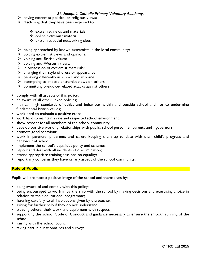- $\triangleright$  having extremist political or religious views;
- $\triangleright$  disclosing that they have been exposed to:
	- $\div$  extremist views and materials
	- ❖ online extremist material
	- ❖ extremist social networking sites
- $\triangleright$  being approached by known extremists in the local community;
- $\triangleright$  voicing extremist views and opinions;
- $\triangleright$  voicing anti-British values;
- $\triangleright$  voicing anti-Western views;
- $\triangleright$  in possession of extremist materials;
- $\triangleright$  changing their style of dress or appearance;
- $\triangleright$  behaving differently in school and at home;
- $\triangleright$  attempting to impose extremist views on others;
- $\triangleright$  committing prejudice-related attacks against others.
- comply with all aspects of this policy;
- **be aware of all other linked policies;**
- maintain high standards of ethics and behaviour within and outside school and not to undermine fundamental British values;
- work hard to maintain a positive ethos:
- work hard to maintain a safe and respected school environment;
- **show respect for all members of the school community;**
- **develop positive working relationships with pupils, school personnel, parents and governors;**
- promote good behaviour;
- work in partnership parents and carers keeping them up to date with their child's progress and behaviour at school;
- **IF** implement the school's equalities policy and schemes;
- **P** report and deal with all incidents of discrimination;
- **E** attend appropriate training sessions on equality;
- **•** report any concerns they have on any aspect of the school community.

#### **Role of Pupils**

Pupils will promote a positive image of the school and themselves by:

- **being aware of and comply with this policy;**
- **•** being encouraged to work in partnership with the school by making decisions and exercising choice in relation to their educational programme;
- **I** listening carefully to all instructions given by the teacher;
- **asking for further help if they do not understand;**
- **treating others, their work and equipment with respect;**
- supporting the school Code of Conduct and guidance necessary to ensure the smooth running of the school;
- liaising with the school council;
- taking part in questionnaires and surveys.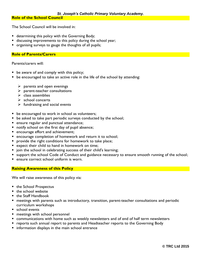#### **Role of the School Council**

The School Council will be involved in:

- **determining this policy with the Governing Body;**
- **discussing improvements to this policy during the school year;**
- organising surveys to gauge the thoughts of all pupils;

#### **Role of Parents/Carers**

Parents/carers will:

- be aware of and comply with this policy;
- **be encouraged to take an active role in the life of the school by attending:** 
	- $\triangleright$  parents and open evenings
	- $\triangleright$  parent-teacher consultations
	- $\triangleright$  class assemblies
	- $\triangleright$  school concerts
	- $\triangleright$  fundraising and social events
- be encouraged to work in school as volunteers;
- be asked to take part periodic surveys conducted by the school;
- **ensure regular and punctual attendance;**
- notify school on the first day of pupil absence;
- **E** encourage effort and achievement;
- **EXT** encourage completion of homework and return it to school;
- provide the right conditions for homework to take place;
- expect their child to hand in homework on time;
- join the school in celebrating success of their child's learning;
- support the school Code of Conduct and guidance necessary to ensure smooth running of the school;
- ensure correct school uniform is worn.

#### **Raising Awareness of this Policy**

We will raise awareness of this policy via:

- the School Prospectus
- $\blacksquare$  the school website
- the Staff Handbook
- meetings with parents such as introductory, transition, parent-teacher consultations and periodic curriculum workshops
- school events
- **n** meetings with school personnel
- **E** communications with home such as weekly newsletters and of end of half term newsletters
- **•** reports such annual report to parents and Headteacher reports to the Governing Body
- $\blacksquare$  information displays in the main school entrance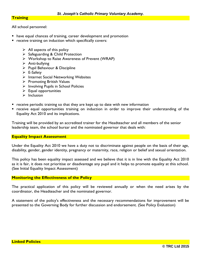#### **Training**

All school personnel:

- **have equal chances of training, career development and promotion**
- **P** receive training on induction which specifically covers:
	- $\triangleright$  All aspects of this policy
	- $\triangleright$  Safeguarding & Child Protection
	- $\triangleright$  Workshop to Raise Awareness of Prevent (WRAP)
	- $\triangleright$  Anti-bullying
	- $\triangleright$  Pupil Behaviour & Discipline
	- $\triangleright$  E-Safety
	- $\triangleright$  Internet Social Networking Websites
	- $\triangleright$  Promoting British Values
	- $\triangleright$  Involving Pupils in School Policies
	- $\triangleright$  Equal opportunities
	- $\triangleright$  Inclusion
- **•** receive periodic training so that they are kept up to date with new information
- receive equal opportunities training on induction in order to improve their understanding of the Equality Act 2010 and its implications.

Training will be provided by an accredited trainer for the Headteacher and all members of the senior leadership team, the school bursar and the nominated governor that deals with:

#### **Equality Impact Assessment**

Under the Equality Act 2010 we have a duty not to discriminate against people on the basis of their age, disability, gender, gender identity, pregnancy or maternity, race, religion or belief and sexual orientation.

This policy has been equality impact assessed and we believe that it is in line with the Equality Act 2010 as it is fair, it does not prioritise or disadvantage any pupil and it helps to promote equality at this school. (See Initial Equality Impact Assessment)

#### **Monitoring the Effectiveness of the Policy**

The practical application of this policy will be reviewed annually or when the need arises by the coordinator, the Headteacher and the nominated governor.

A statement of the policy's effectiveness and the necessary recommendations for improvement will be presented to the Governing Body for further discussion and endorsement. (See Policy Evaluation)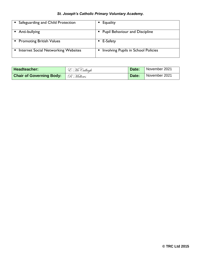| Safeguarding and Child Protection          | Equality                                   |
|--------------------------------------------|--------------------------------------------|
| Anti-bullying                              | <b>Pupil Behaviour and Discipline</b>      |
| • Promoting British Values                 | E-Safety                                   |
| <b>Internet Social Networking Websites</b> | <b>Involving Pupils in School Policies</b> |

| Headteacher:                                | E McCullagh | Date: | November 2021 |
|---------------------------------------------|-------------|-------|---------------|
| <b>Chair of Governing Body:</b>   R Mellows |             | Date: | November 2021 |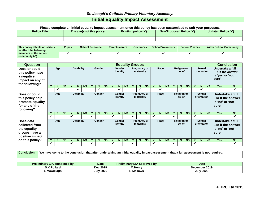## *St. Joseph's Catholic Primary Voluntary Academy.* **Initial Equality Impact Assessment**

**Please complete an initial equality impact assessment once this policy has been customised to suit your purposes.**

| <b>Policy Title</b> | The aim(s) of this policy | Existing policy $(\checkmark)$ | New/Proposed Policy (√ | Updated Policy $(\checkmark)$ |
|---------------------|---------------------------|--------------------------------|------------------------|-------------------------------|
|                     |                           |                                |                        |                               |

| This policy affects or is likely<br>to affect the following | Pupils | <b>School Personnel</b> | <b>Parents/carers</b> | <b>Governors</b> | <b>School Volunteers</b> | <b>School Visitors</b> | <b>Wider School Community</b> |
|-------------------------------------------------------------|--------|-------------------------|-----------------------|------------------|--------------------------|------------------------|-------------------------------|
| members of the school<br>community $(\checkmark)$           |        |                         |                       |                  |                          |                        |                               |

| <b>Question</b>                                                                       | <b>Equality Groups</b> |     |           |   |                   |           |   |        |                   |   |                    |                   |   |                                  |                    | <b>Conclusion</b> |                           |                                  |              |                                  |           |       |                              |                              |                                                                          |                              |                       |  |                                              |                          |                                                                  |  |
|---------------------------------------------------------------------------------------|------------------------|-----|-----------|---|-------------------|-----------|---|--------|-------------------|---|--------------------|-------------------|---|----------------------------------|--------------------|-------------------|---------------------------|----------------------------------|--------------|----------------------------------|-----------|-------|------------------------------|------------------------------|--------------------------------------------------------------------------|------------------------------|-----------------------|--|----------------------------------------------|--------------------------|------------------------------------------------------------------|--|
| Does or could<br>this policy have                                                     | Age                    |     |           |   |                   |           |   |        |                   |   |                    | <b>Disability</b> |   | Gender                           |                    |                   | <b>Gender</b><br>identity |                                  |              | <b>Pregnancy or</b><br>maternity |           |       | Race                         |                              |                                                                          | <b>Religion or</b><br>belief |                       |  | <b>Sexual</b><br>orientation                 |                          | Undertake a full<br><b>EIA if the answer</b><br>is 'yes' or 'not |  |
| a negative<br>impact on any of<br>the following?                                      |                        |     |           |   |                   |           |   |        |                   |   |                    |                   |   |                                  |                    |                   |                           |                                  |              |                                  |           | sure' |                              |                              |                                                                          |                              |                       |  |                                              |                          |                                                                  |  |
|                                                                                       |                        | N   | <b>NS</b> |   | N                 | <b>NS</b> |   | N.     | <b>NS</b>         |   | N.                 | <b>NS</b>         |   | N                                | <b>NS</b>          |                   | N                         | <b>NS</b>                        |              | N.                               | <b>NS</b> |       | $\mathbf N$                  | <b>NS</b>                    | <b>Yes</b>                                                               | <b>No</b>                    |                       |  |                                              |                          |                                                                  |  |
|                                                                                       |                        | ✓   |           |   |                   |           |   | ✓      |                   |   | ✔                  |                   |   |                                  |                    |                   | $\mathbf{v}$              |                                  |              | ✓                                |           |       |                              |                              |                                                                          | ✓                            |                       |  |                                              |                          |                                                                  |  |
| Does or could<br>this policy help<br>promote equality<br>for any of the<br>following? | Age                    |     |           |   |                   |           |   |        | <b>Disability</b> |   |                    | Gender            |   |                                  | Gender<br>identity |                   |                           | <b>Pregnancy or</b><br>maternity |              |                                  | Race      |       |                              | <b>Religion or</b><br>belief |                                                                          |                              | Sexual<br>orientation |  | Undertake a full<br>is 'no' or 'not<br>sure' | <b>EIA if the answer</b> |                                                                  |  |
|                                                                                       |                        | N.  | <b>NS</b> |   | N                 | <b>NS</b> |   | N      | <b>NS</b>         |   | N                  | <b>NS</b>         |   | N                                | <b>NS</b>          | Y                 | N                         | <b>NS</b>                        | Y            | N.                               | <b>NS</b> |       | N                            | <b>NS</b>                    | <b>Yes</b>                                                               | <b>No</b>                    |                       |  |                                              |                          |                                                                  |  |
|                                                                                       | ✓                      |     |           |   |                   |           | ✔ |        |                   | ✔ |                    |                   | ✔ |                                  |                    |                   |                           |                                  | ✓            |                                  |           |       |                              |                              |                                                                          |                              |                       |  |                                              |                          |                                                                  |  |
| Does data<br>collected from<br>the equality<br>groups have a<br>positive impact       |                        | Age |           |   | <b>Disability</b> |           |   | Gender |                   |   | Gender<br>identity |                   |   | <b>Pregnancy or</b><br>maternity |                    |                   | Race                      |                                  |              | <b>Religion or</b><br>belief     |           |       | <b>Sexual</b><br>orientation |                              | Undertake a full<br><b>EIA if the answer</b><br>is 'no' or 'not<br>sure' |                              |                       |  |                                              |                          |                                                                  |  |
| on this policy?                                                                       |                        | N.  | <b>NS</b> |   | N                 | <b>NS</b> |   | N.     | <b>NS</b>         |   | N.                 | <b>NS</b>         |   | N                                | <b>NS</b>          |                   | N                         | <b>NS</b>                        |              | N                                | <b>NS</b> |       | N.                           | <b>NS</b>                    | <b>Yes</b>                                                               | <b>No</b>                    |                       |  |                                              |                          |                                                                  |  |
|                                                                                       | ✔                      |     |           | ✓ |                   |           | ✔ |        |                   | ✓ |                    |                   | ✔ |                                  |                    | $\checkmark$      |                           |                                  | $\checkmark$ |                                  |           |       |                              |                              |                                                                          |                              |                       |  |                                              |                          |                                                                  |  |

**Conclusion We have come to the conclusion that after undertaking an initial equality impact assessment that a full assessment is not required.**

| <b>Preliminary E</b><br><b>EIA completed by</b> | Date             | <b>Preliminary EIA approved by</b> | Date               |
|-------------------------------------------------|------------------|------------------------------------|--------------------|
| ↑ K.Pollard                                     | Dec 2019         | <b>M.Henrv</b>                     | r 2019<br>December |
| <b>E</b> McCullagh                              | <b>July 2020</b> | <b>Mellows</b>                     | <b>July 2020</b>   |